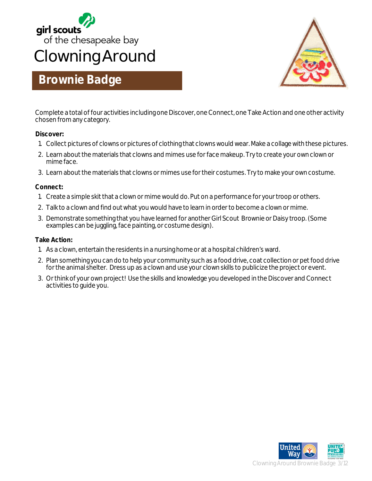



### **Brownie Badge**

Complete a total of four activities including one Discover, one Connect, one Take Action and one other activity chosen from any category.

#### **Discover:**

- 1. Collect pictures of clowns or pictures of clothing that clowns would wear. Make a collage with these pictures.
- 2. Learn about the materials that clowns and mimes use for face makeup. Try to create your own clown or mime face.
- 3. Learn about the materials that clowns or mimes use for their costumes. Try to make your own costume.

#### **Connect:**

- 1. Create a simple skit that a clown or mime would do. Put on a performance for your troop or others.
- 2. Talk to a clown and find out what you would have to learn in order to become a clown or mime.
- 3. Demonstrate something that you have learned for another Girl Scout Brownie or Daisy troop. (Some examples can be juggling, face painting, or costume design).

#### **Take Action:**

- 1. As a clown, entertain the residents in a nursing home or at a hospital children's ward.
- 2. Plan something you can do to help your community such as a food drive, coat collection or pet food drive for the animal shelter. Dress up as a clown and use your clown skills to publicize the project or event.
- 3. Or think of your own project! Use the skills and knowledge you developed in the Discover and Connect activities to guide you.

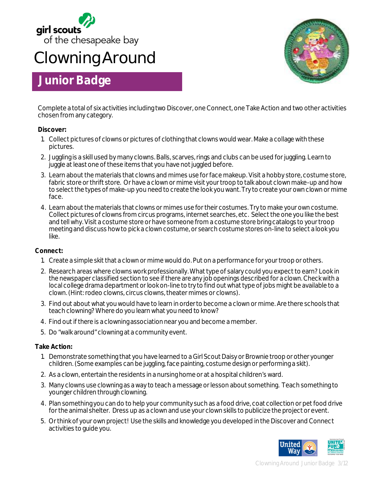

## **Clowning Around**

## **Junior Badge**



Complete a total of six activities including two Discover, one Connect, one Take Action and two other activities chosen from any category.

#### **Discover:**

- 1. Collect pictures of clowns or pictures of clothing that clowns would wear. Make a collage with these pictures.
- 2. Juggling is a skill used by many clowns. Balls, scarves, rings and clubs can be used for juggling. Learn to juggle at least one of these items that you have not juggled before.
- 3. Learn about the materials that clowns and mimes use for face makeup. Visit a hobby store, costume store, fabric store or thrift store. Or have a clown or mime visit your troop to talk about clown make-up and how to select the types of make-up you need to create the look you want. Try to create your own clown or mime face.
- 4. Learn about the materials that clowns or mimes use for their costumes. Try to make your own costume. Collect pictures of clowns from circus programs, internet searches, etc. Select the one you like the best and tell why. Visit a costume store or have someone from a costume store bring catalogs to your troop meeting and discuss how to pick a clown costume, or search costume stores on-line to select a look you like.

#### **Connect:**

- 1. Create a simple skit that a clown or mime would do. Put on a performance for your troop or others.
- 2. Research areas where clowns work professionally. What type of salary could you expect to earn? Look in the newspaper classified section to see if there are any job openings described for a clown. Check with a local college drama department or look on-line to try to find out what type of jobs might be available to a clown. (Hint: rodeo clowns, circus clowns, theater mimes or clowns).
- 3. Find out about what you would have to learn in order to become a clown or mime. Are there schools that teach clowning? Where do you learn what you need to know?
- 4. Find out if there is a clowning association near you and become a member.
- 5. Do "walk around" clowning at a community event.

#### **Take Action:**

- 1. Demonstrate something that you have learned to a Girl Scout Daisy or Brownie troop or other younger children. (Some examples can be juggling, face painting, costume design or performing a skit).
- 2. As a clown, entertain the residents in a nursing home or at a hospital children's ward.
- 3. Many clowns use clowning as a way to teach a message or lesson about something. Teach something to younger children through clowning.
- 4. Plan something you can do to help your community such as a food drive, coat collection or pet food drive for the animal shelter. Dress up as a clown and use your clown skills to publicize the project or event.
- 5. Or think of your own project! Use the skills and knowledge you developed in the Discover and Connect activities to guide you.



Clowning Around Junior Badge 3/12